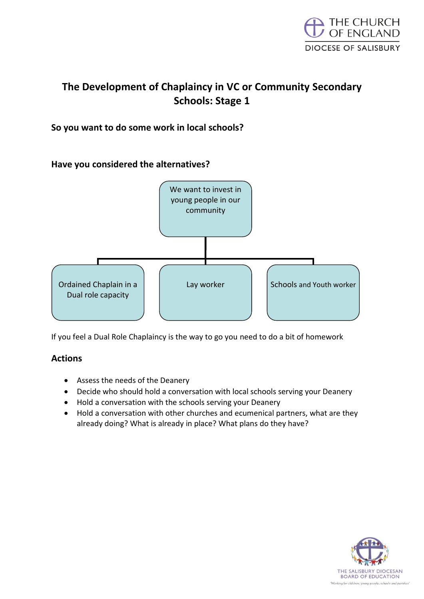

# **The Development of Chaplaincy in VC or Community Secondary Schools: Stage 1**

## **So you want to do some work in local schools?**

### **Have you considered the alternatives?**



If you feel a Dual Role Chaplaincy is the way to go you need to do a bit of homework

#### **Actions**

- Assess the needs of the Deanery
- Decide who should hold a conversation with local schools serving your Deanery
- Hold a conversation with the schools serving your Deanery
- Hold a conversation with other churches and ecumenical partners, what are they already doing? What is already in place? What plans do they have?